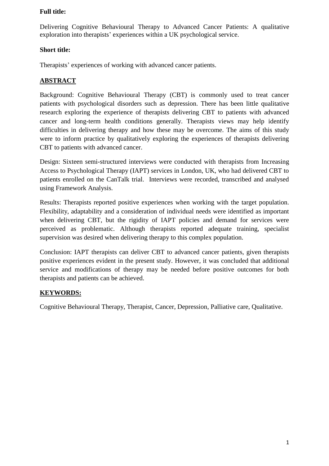Delivering Cognitive Behavioural Therapy to Advanced Cancer Patients: A qualitative exploration into therapists' experiences within a UK psychological service.

# **Short title:**

Therapists' experiences of working with advanced cancer patients.

# **ABSTRACT**

Background: Cognitive Behavioural Therapy (CBT) is commonly used to treat cancer patients with psychological disorders such as depression. There has been little qualitative research exploring the experience of therapists delivering CBT to patients with advanced cancer and long-term health conditions generally. Therapists views may help identify difficulties in delivering therapy and how these may be overcome. The aims of this study were to inform practice by qualitatively exploring the experiences of therapists delivering CBT to patients with advanced cancer.

Design: Sixteen semi-structured interviews were conducted with therapists from Increasing Access to Psychological Therapy (IAPT) services in London, UK, who had delivered CBT to patients enrolled on the CanTalk trial. Interviews were recorded, transcribed and analysed using Framework Analysis.

Results: Therapists reported positive experiences when working with the target population. Flexibility, adaptability and a consideration of individual needs were identified as important when delivering CBT, but the rigidity of IAPT policies and demand for services were perceived as problematic. Although therapists reported adequate training, specialist supervision was desired when delivering therapy to this complex population.

Conclusion: IAPT therapists can deliver CBT to advanced cancer patients, given therapists positive experiences evident in the present study. However, it was concluded that additional service and modifications of therapy may be needed before positive outcomes for both therapists and patients can be achieved.

# **KEYWORDS:**

Cognitive Behavioural Therapy, Therapist, Cancer, Depression, Palliative care, Qualitative.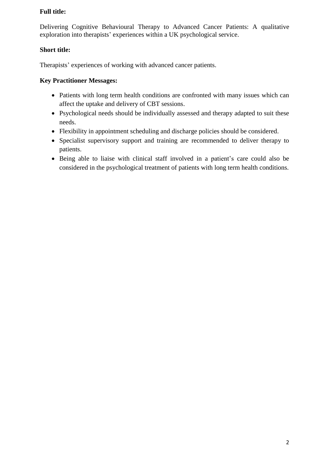Delivering Cognitive Behavioural Therapy to Advanced Cancer Patients: A qualitative exploration into therapists' experiences within a UK psychological service.

# **Short title:**

Therapists' experiences of working with advanced cancer patients.

# **Key Practitioner Messages:**

- Patients with long term health conditions are confronted with many issues which can affect the uptake and delivery of CBT sessions.
- Psychological needs should be individually assessed and therapy adapted to suit these needs.
- Flexibility in appointment scheduling and discharge policies should be considered.
- Specialist supervisory support and training are recommended to deliver therapy to patients.
- Being able to liaise with clinical staff involved in a patient's care could also be considered in the psychological treatment of patients with long term health conditions.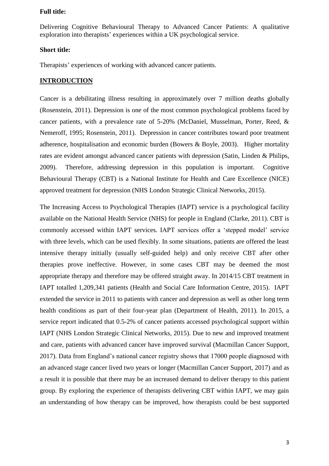Delivering Cognitive Behavioural Therapy to Advanced Cancer Patients: A qualitative exploration into therapists' experiences within a UK psychological service.

### **Short title:**

Therapists' experiences of working with advanced cancer patients.

### **INTRODUCTION**

Cancer is a debilitating illness resulting in approximately over 7 million deaths globally (Rosenstein, 2011). Depression is one of the most common psychological problems faced by cancer patients, with a prevalence rate of 5-20% (McDaniel, Musselman, Porter, Reed, & Nemeroff, 1995; Rosenstein, 2011). Depression in cancer contributes toward poor treatment adherence, hospitalisation and economic burden (Bowers & Boyle, 2003). Higher mortality rates are evident amongst advanced cancer patients with depression (Satin, Linden & Philips, 2009). Therefore, addressing depression in this population is important. Cognitive Behavioural Therapy (CBT) is a National Institute for Health and Care Excellence (NICE) approved treatment for depression (NHS London Strategic Clinical Networks, 2015).

The Increasing Access to Psychological Therapies (IAPT) service is a psychological facility available on the National Health Service (NHS) for people in England (Clarke, 2011). CBT is commonly accessed within IAPT services. IAPT services offer a 'stepped model' service with three levels, which can be used flexibly. In some situations, patients are offered the least intensive therapy initially (usually self-guided help) and only receive CBT after other therapies prove ineffective. However, in some cases CBT may be deemed the most appropriate therapy and therefore may be offered straight away. In 2014/15 CBT treatment in IAPT totalled 1,209,341 patients (Health and Social Care Information Centre, 2015). IAPT extended the service in 2011 to patients with cancer and depression as well as other long term health conditions as part of their four-year plan (Department of Health, 2011). In 2015, a service report indicated that 0.5-2% of cancer patients accessed psychological support within IAPT (NHS London Strategic Clinical Networks, 2015). Due to new and improved treatment and care, patients with advanced cancer have improved survival (Macmillan Cancer Support, 2017). Data from England's national cancer registry shows that 17000 people diagnosed with an advanced stage cancer lived two years or longer (Macmillan Cancer Support, 2017) and as a result it is possible that there may be an increased demand to deliver therapy to this patient group. By exploring the experience of therapists delivering CBT within IAPT, we may gain an understanding of how therapy can be improved, how therapists could be best supported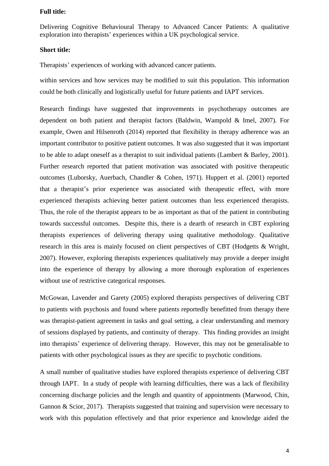Delivering Cognitive Behavioural Therapy to Advanced Cancer Patients: A qualitative exploration into therapists' experiences within a UK psychological service.

### **Short title:**

Therapists' experiences of working with advanced cancer patients.

within services and how services may be modified to suit this population. This information could be both clinically and logistically useful for future patients and IAPT services.

Research findings have suggested that improvements in psychotherapy outcomes are dependent on both patient and therapist factors (Baldwin, Wampold & Imel, 2007). For example, Owen and Hilsenroth (2014) reported that flexibility in therapy adherence was an important contributor to positive patient outcomes. It was also suggested that it was important to be able to adapt oneself as a therapist to suit individual patients (Lambert & Barley, 2001). Further research reported that patient motivation was associated with positive therapeutic outcomes (Luborsky, Auerbach, Chandler & Cohen, 1971). Huppert et al. (2001) reported that a therapist's prior experience was associated with therapeutic effect, with more experienced therapists achieving better patient outcomes than less experienced therapists. Thus, the role of the therapist appears to be as important as that of the patient in contributing towards successful outcomes. Despite this, there is a dearth of research in CBT exploring therapists experiences of delivering therapy using qualitative methodology. Qualitative research in this area is mainly focused on client perspectives of CBT (Hodgetts & Wright, 2007). However, exploring therapists experiences qualitatively may provide a deeper insight into the experience of therapy by allowing a more thorough exploration of experiences without use of restrictive categorical responses.

McGowan, Lavender and Garety (2005) explored therapists perspectives of delivering CBT to patients with psychosis and found where patients reportedly benefitted from therapy there was therapist-patient agreement in tasks and goal setting, a clear understanding and memory of sessions displayed by patients, and continuity of therapy. This finding provides an insight into therapists' experience of delivering therapy. However, this may not be generalisable to patients with other psychological issues as they are specific to psychotic conditions.

A small number of qualitative studies have explored therapists experience of delivering CBT through IAPT. In a study of people with learning difficulties, there was a lack of flexibility concerning discharge policies and the length and quantity of appointments (Marwood, Chin, Gannon & Scior, 2017). Therapists suggested that training and supervision were necessary to work with this population effectively and that prior experience and knowledge aided the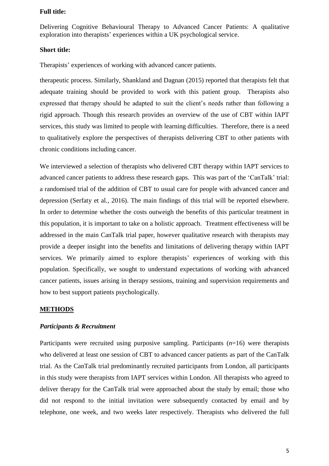Delivering Cognitive Behavioural Therapy to Advanced Cancer Patients: A qualitative exploration into therapists' experiences within a UK psychological service.

#### **Short title:**

Therapists' experiences of working with advanced cancer patients.

therapeutic process. Similarly, Shankland and Dagnan (2015) reported that therapists felt that adequate training should be provided to work with this patient group. Therapists also expressed that therapy should be adapted to suit the client's needs rather than following a rigid approach. Though this research provides an overview of the use of CBT within IAPT services, this study was limited to people with learning difficulties. Therefore, there is a need to qualitatively explore the perspectives of therapists delivering CBT to other patients with chronic conditions including cancer.

We interviewed a selection of therapists who delivered CBT therapy within IAPT services to advanced cancer patients to address these research gaps. This was part of the 'CanTalk' trial: a randomised trial of the addition of CBT to usual care for people with advanced cancer and depression (Serfaty et al*.*, 2016). The main findings of this trial will be reported elsewhere. In order to determine whether the costs outweigh the benefits of this particular treatment in this population, it is important to take on a holistic approach. Treatment effectiveness will be addressed in the main CanTalk trial paper, however qualitative research with therapists may provide a deeper insight into the benefits and limitations of delivering therapy within IAPT services. We primarily aimed to explore therapists' experiences of working with this population. Specifically, we sought to understand expectations of working with advanced cancer patients, issues arising in therapy sessions, training and supervision requirements and how to best support patients psychologically.

#### **METHODS**

### *Participants & Recruitment*

Participants were recruited using purposive sampling. Participants (*n*=16) were therapists who delivered at least one session of CBT to advanced cancer patients as part of the CanTalk trial. As the CanTalk trial predominantly recruited participants from London, all participants in this study were therapists from IAPT services within London. All therapists who agreed to deliver therapy for the CanTalk trial were approached about the study by email; those who did not respond to the initial invitation were subsequently contacted by email and by telephone, one week, and two weeks later respectively. Therapists who delivered the full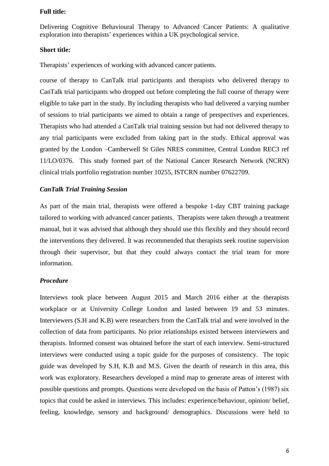Delivering Cognitive Behavioural Therapy to Advanced Cancer Patients: A qualitative exploration into therapists' experiences within a UK psychological service.

#### **Short title:**

Therapists' experiences of working with advanced cancer patients.

course of therapy to CanTalk trial participants and therapists who delivered therapy to CanTalk trial participants who dropped out before completing the full course of therapy were eligible to take part in the study. By including therapists who had delivered a varying number of sessions to trial participants we aimed to obtain a range of perspectives and experiences. Therapists who had attended a CanTalk trial training session but had not delivered therapy to any trial participants were excluded from taking part in the study. Ethical approval was granted by the London –Camberwell St Giles NRES committee, Central London REC3 ref 11/LO/0376. This study formed part of the National Cancer Research Network (NCRN) clinical trials portfolio registration number 10255, ISTCRN number 07622709.

## *CanTalk Trial Training Session*

As part of the main trial, therapists were offered a bespoke 1-day CBT training package tailored to working with advanced cancer patients. Therapists were taken through a treatment manual, but it was advised that although they should use this flexibly and they should record the interventions they delivered. It was recommended that therapists seek routine supervision through their supervisor, but that they could always contact the trial team for more information.

#### *Procedure*

Interviews took place between August 2015 and March 2016 either at the therapists workplace or at University College London and lasted between 19 and 53 minutes. Interviewers (S.H and K.B) were researchers from the CanTalk trial and were involved in the collection of data from participants. No prior relationships existed between interviewers and therapists. Informed consent was obtained before the start of each interview. Semi-structured interviews were conducted using a topic guide for the purposes of consistency. The topic guide was developed by S.H, K.B and M.S. Given the dearth of research in this area, this work was exploratory. Researchers developed a mind map to generate areas of interest with possible questions and prompts. Questions were developed on the basis of Patton's (1987) six topics that could be asked in interviews. This includes: experience/behaviour, opinion/ belief, feeling, knowledge, sensory and background/ demographics. Discussions were held to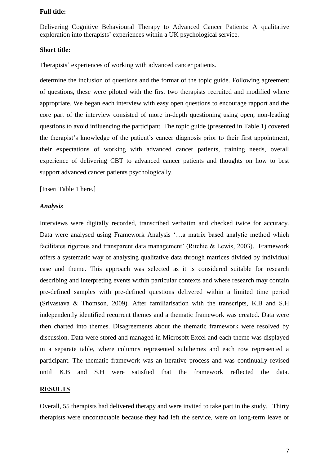Delivering Cognitive Behavioural Therapy to Advanced Cancer Patients: A qualitative exploration into therapists' experiences within a UK psychological service.

#### **Short title:**

Therapists' experiences of working with advanced cancer patients.

determine the inclusion of questions and the format of the topic guide. Following agreement of questions, these were piloted with the first two therapists recruited and modified where appropriate. We began each interview with easy open questions to encourage rapport and the core part of the interview consisted of more in-depth questioning using open, non-leading questions to avoid influencing the participant. The topic guide (presented in Table 1) covered the therapist's knowledge of the patient's cancer diagnosis prior to their first appointment, their expectations of working with advanced cancer patients, training needs, overall experience of delivering CBT to advanced cancer patients and thoughts on how to best support advanced cancer patients psychologically.

[Insert Table 1 here.]

### *Analysis*

Interviews were digitally recorded, transcribed verbatim and checked twice for accuracy. Data were analysed using Framework Analysis '…a matrix based analytic method which facilitates rigorous and transparent data management' (Ritchie & Lewis, 2003). Framework offers a systematic way of analysing qualitative data through matrices divided by individual case and theme. This approach was selected as it is considered suitable for research describing and interpreting events within particular contexts and where research may contain pre-defined samples with pre-defined questions delivered within a limited time period (Srivastava & Thomson, 2009). After familiarisation with the transcripts, K.B and S.H independently identified recurrent themes and a thematic framework was created. Data were then charted into themes. Disagreements about the thematic framework were resolved by discussion. Data were stored and managed in Microsoft Excel and each theme was displayed in a separate table, where columns represented subthemes and each row represented a participant. The thematic framework was an iterative process and was continually revised until K.B and S.H were satisfied that the framework reflected the data.

#### **RESULTS**

Overall, 55 therapists had delivered therapy and were invited to take part in the study. Thirty therapists were uncontactable because they had left the service, were on long-term leave or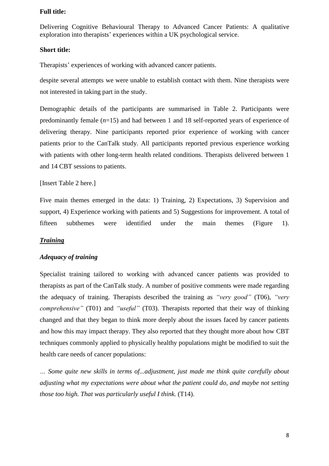Delivering Cognitive Behavioural Therapy to Advanced Cancer Patients: A qualitative exploration into therapists' experiences within a UK psychological service.

#### **Short title:**

Therapists' experiences of working with advanced cancer patients.

despite several attempts we were unable to establish contact with them. Nine therapists were not interested in taking part in the study.

Demographic details of the participants are summarised in Table 2. Participants were predominantly female (*n*=15) and had between 1 and 18 self-reported years of experience of delivering therapy. Nine participants reported prior experience of working with cancer patients prior to the CanTalk study. All participants reported previous experience working with patients with other long-term health related conditions. Therapists delivered between 1 and 14 CBT sessions to patients.

[Insert Table 2 here.]

Five main themes emerged in the data: 1) Training, 2) Expectations, 3) Supervision and support, 4) Experience working with patients and 5) Suggestions for improvement. A total of fifteen subthemes were identified under the main themes (Figure 1).

### *Training*

### *Adequacy of training*

Specialist training tailored to working with advanced cancer patients was provided to therapists as part of the CanTalk study. A number of positive comments were made regarding the adequacy of training. Therapists described the training as *"very good"* (T06), *"very comprehensive"* (T01) and *"useful"* (T03). Therapists reported that their way of thinking changed and that they began to think more deeply about the issues faced by cancer patients and how this may impact therapy. They also reported that they thought more about how CBT techniques commonly applied to physically healthy populations might be modified to suit the health care needs of cancer populations:

*… Some quite new skills in terms of...adjustment, just made me think quite carefully about adjusting what my expectations were about what the patient could do, and maybe not setting those too high. That was particularly useful I think.* (T14).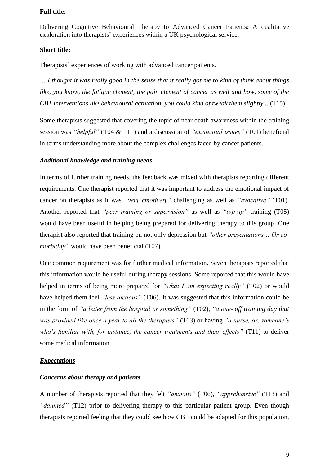Delivering Cognitive Behavioural Therapy to Advanced Cancer Patients: A qualitative exploration into therapists' experiences within a UK psychological service.

### **Short title:**

Therapists' experiences of working with advanced cancer patients.

*… I thought it was really good in the sense that it really got me to kind of think about things like, you know, the fatigue element, the pain element of cancer as well and how, some of the CBT interventions like behavioural activation, you could kind of tweak them slightly...* (T15).

Some therapists suggested that covering the topic of near death awareness within the training session was *"helpful"* (T04 & T11) and a discussion of *"existential issues"* (T01) beneficial in terms understanding more about the complex challenges faced by cancer patients.

### *Additional knowledge and training needs*

In terms of further training needs, the feedback was mixed with therapists reporting different requirements. One therapist reported that it was important to address the emotional impact of cancer on therapists as it was *"very emotively"* challenging as well as *"evocative"* (T01). Another reported that *"peer training or supervision"* as well as *"top-up"* training (T05) would have been useful in helping being prepared for delivering therapy to this group. One therapist also reported that training on not only depression but *"other presentations… Or comorbidity"* would have been beneficial (T07).

One common requirement was for further medical information. Seven therapists reported that this information would be useful during therapy sessions. Some reported that this would have helped in terms of being more prepared for *"what I am expecting really"* (T02) or would have helped them feel *"less anxious"* (T06). It was suggested that this information could be in the form of *"a letter from the hospital or something"* (T02), *"a one- off training day that was provided like once a year to all the therapists"* (T03) or having *"a nurse, or, someone's who's familiar with, for instance, the cancer treatments and their effects"* (T11) to deliver some medical information.

### *Expectations*

#### *Concerns about therapy and patients*

A number of therapists reported that they felt *"anxious"* (T06), *"apprehensive"* (T13) and *"daunted"* (T12) prior to delivering therapy to this particular patient group. Even though therapists reported feeling that they could see how CBT could be adapted for this population,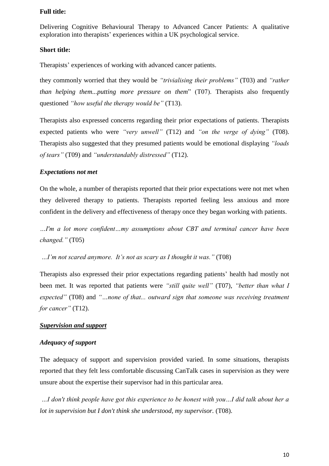Delivering Cognitive Behavioural Therapy to Advanced Cancer Patients: A qualitative exploration into therapists' experiences within a UK psychological service.

#### **Short title:**

Therapists' experiences of working with advanced cancer patients.

they commonly worried that they would be *"trivialising their problems"* (T03) and *"rather than helping them...putting more pressure on them*" (T07). Therapists also frequently questioned *"how useful the therapy would be"* (T13).

Therapists also expressed concerns regarding their prior expectations of patients. Therapists expected patients who were *"very unwell"* (T12) and *"on the verge of dying"* (T08). Therapists also suggested that they presumed patients would be emotional displaying *"loads of tears"* (T09) and *"understandably distressed"* (T12).

### *Expectations not met*

On the whole, a number of therapists reported that their prior expectations were not met when they delivered therapy to patients. Therapists reported feeling less anxious and more confident in the delivery and effectiveness of therapy once they began working with patients.

*…I'm a lot more confident…my assumptions about CBT and terminal cancer have been changed."* (T05)

*…I'm not scared anymore. It's not as scary as I thought it was."* (T08)

Therapists also expressed their prior expectations regarding patients' health had mostly not been met. It was reported that patients were *"still quite well"* (T07), *"better than what I expected"* (T08) and *"…none of that... outward sign that someone was receiving treatment for cancer"* (T12).

# *Supervision and support*

## *Adequacy of support*

The adequacy of support and supervision provided varied. In some situations, therapists reported that they felt less comfortable discussing CanTalk cases in supervision as they were unsure about the expertise their supervisor had in this particular area.

*…I don't think people have got this experience to be honest with you…I did talk about her a lot in supervision but I don't think she understood, my supervisor.* (T08).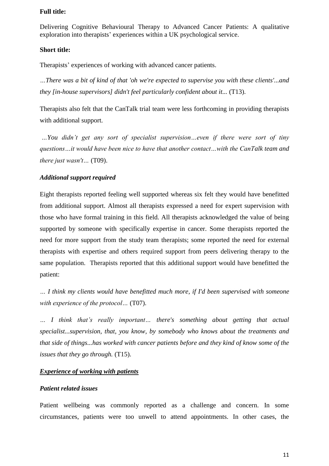Delivering Cognitive Behavioural Therapy to Advanced Cancer Patients: A qualitative exploration into therapists' experiences within a UK psychological service.

#### **Short title:**

Therapists' experiences of working with advanced cancer patients.

*…There was a bit of kind of that 'oh we're expected to supervise you with these clients'...and they [in-house supervisors] didn't feel particularly confident about it...* (T13).

Therapists also felt that the CanTalk trial team were less forthcoming in providing therapists with additional support.

*…You didn't get any sort of specialist supervision…even if there were sort of tiny questions…it would have been nice to have that another contact…with the CanTalk team and there just wasn't…* (T09).

### *Additional support required*

Eight therapists reported feeling well supported whereas six felt they would have benefitted from additional support. Almost all therapists expressed a need for expert supervision with those who have formal training in this field. All therapists acknowledged the value of being supported by someone with specifically expertise in cancer. Some therapists reported the need for more support from the study team therapists; some reported the need for external therapists with expertise and others required support from peers delivering therapy to the same population. Therapists reported that this additional support would have benefitted the patient:

*… I think my clients would have benefitted much more, if I'd been supervised with someone with experience of the protocol…* (T07).

*… I think that's really important… there's something about getting that actual specialist...supervision, that, you know, by somebody who knows about the treatments and that side of things...has worked with cancer patients before and they kind of know some of the issues that they go through.* (T15).

#### *Experience of working with patients*

#### *Patient related issues*

Patient wellbeing was commonly reported as a challenge and concern. In some circumstances, patients were too unwell to attend appointments. In other cases, the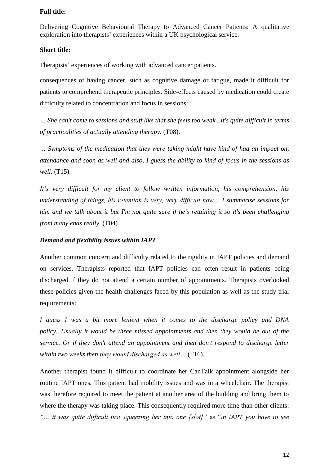Delivering Cognitive Behavioural Therapy to Advanced Cancer Patients: A qualitative exploration into therapists' experiences within a UK psychological service.

### **Short title:**

Therapists' experiences of working with advanced cancer patients.

consequences of having cancer, such as cognitive damage or fatigue, made it difficult for patients to comprehend therapeutic principles. Side-effects caused by medication could create difficulty related to concentration and focus in sessions:

*… She can't come to sessions and stuff like that she feels too weak...It's quite difficult in terms of practicalities of actually attending therapy.* (T08).

*… Symptoms of the medication that they were taking might have kind of had an impact on, attendance and soon as well and also, I guess the ability to kind of focus in the sessions as well.* (T15).

*It's very difficult for my client to follow written information, his comprehension, his understanding of things, his retention is very, very difficult now… I summarise sessions for him and we talk about it but I'm not quite sure if he's retaining it so it's been challenging from many ends really.* (T04).

### *Demand and flexibility issues within IAPT*

Another common concern and difficulty related to the rigidity in IAPT policies and demand on services. Therapists reported that IAPT policies can often result in patients being discharged if they do not attend a certain number of appointments. Therapists overlooked these policies given the health challenges faced by this population as well as the study trial requirements:

*I guess I was a bit more lenient when it comes to the discharge policy and DNA policy...Usually it would be three missed appointments and then they would be out of the service. Or if they don't attend an appointment and then don't respond to discharge letter within two weeks then they would discharged as well…* (T16).

Another therapist found it difficult to coordinate her CanTalk appointment alongside her routine IAPT ones. This patient had mobility issues and was in a wheelchair. The therapist was therefore required to meet the patient at another area of the building and bring them to where the therapy was taking place. This consequently required more time than other clients: *"… it was quite difficult just squeezing her into one [slot]"* as "*in IAPT you have to see*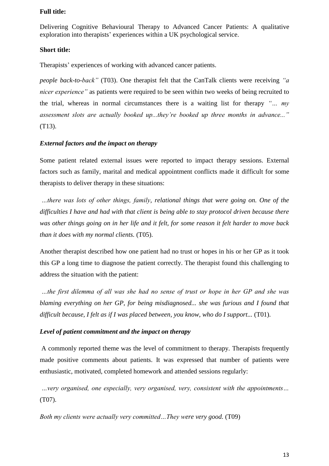Delivering Cognitive Behavioural Therapy to Advanced Cancer Patients: A qualitative exploration into therapists' experiences within a UK psychological service.

#### **Short title:**

Therapists' experiences of working with advanced cancer patients.

*people back-to-back"* (T03). One therapist felt that the CanTalk clients were receiving *"a nicer experience"* as patients were required to be seen within two weeks of being recruited to the trial, whereas in normal circumstances there is a waiting list for therapy *"… my assessment slots are actually booked up...they're booked up three months in advance..."*  (T13).

## *External factors and the impact on therapy*

Some patient related external issues were reported to impact therapy sessions. External factors such as family, marital and medical appointment conflicts made it difficult for some therapists to deliver therapy in these situations:

*…there was lots of other things, family, relational things that were going on. One of the difficulties I have and had with that client is being able to stay protocol driven because there was other things going on in her life and it felt, for some reason it felt harder to move back than it does with my normal clients.* (T05).

Another therapist described how one patient had no trust or hopes in his or her GP as it took this GP a long time to diagnose the patient correctly. The therapist found this challenging to address the situation with the patient:

*…the first dilemma of all was she had no sense of trust or hope in her GP and she was blaming everything on her GP, for being misdiagnosed... she was furious and I found that*  difficult because, I felt as if I was placed between, you know, who do I support... (T01).

### *Level of patient commitment and the impact on therapy*

A commonly reported theme was the level of commitment to therapy. Therapists frequently made positive comments about patients. It was expressed that number of patients were enthusiastic, motivated, completed homework and attended sessions regularly:

*…very organised, one especially, very organised, very, consistent with the appointments…* (T07).

*Both my clients were actually very committed…They were very good.* (T09)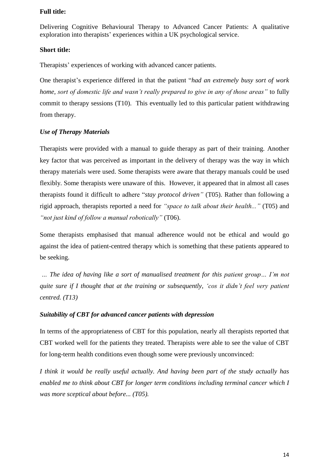Delivering Cognitive Behavioural Therapy to Advanced Cancer Patients: A qualitative exploration into therapists' experiences within a UK psychological service.

### **Short title:**

Therapists' experiences of working with advanced cancer patients.

One therapist's experience differed in that the patient "*had an extremely busy sort of work home, sort of domestic life and wasn't really prepared to give in any of those areas"* to fully commit to therapy sessions (T10). This eventually led to this particular patient withdrawing from therapy.

## *Use of Therapy Materials*

Therapists were provided with a manual to guide therapy as part of their training. Another key factor that was perceived as important in the delivery of therapy was the way in which therapy materials were used. Some therapists were aware that therapy manuals could be used flexibly. Some therapists were unaware of this. However, it appeared that in almost all cases therapists found it difficult to adhere "*stay protocol driven"* (T05). Rather than following a rigid approach, therapists reported a need for *"space to talk about their health..."* (T05) and *"not just kind of follow a manual robotically"* (T06).

Some therapists emphasised that manual adherence would not be ethical and would go against the idea of patient-centred therapy which is something that these patients appeared to be seeking.

*… The idea of having like a sort of manualised treatment for this patient group… I'm not quite sure if I thought that at the training or subsequently, 'cos it didn't feel very patient centred. (T13)*

### *Suitability of CBT for advanced cancer patients with depression*

In terms of the appropriateness of CBT for this population, nearly all therapists reported that CBT worked well for the patients they treated. Therapists were able to see the value of CBT for long-term health conditions even though some were previously unconvinced:

*I think it would be really useful actually. And having been part of the study actually has enabled me to think about CBT for longer term conditions including terminal cancer which I was more sceptical about before... (T05).*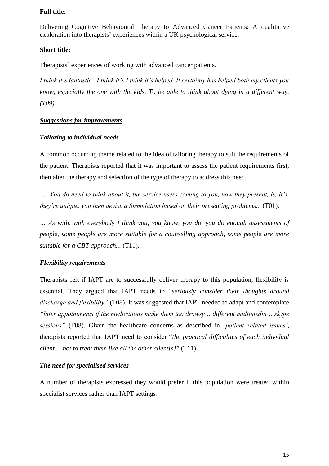Delivering Cognitive Behavioural Therapy to Advanced Cancer Patients: A qualitative exploration into therapists' experiences within a UK psychological service.

### **Short title:**

Therapists' experiences of working with advanced cancer patients.

*I think it's fantastic. I think it's I think it's helped. It certainly has helped both my clients you know, especially the one with the kids. To be able to think about dying in a different way. (T09).*

## *Suggestions for improvements*

### *Tailoring to individual needs*

A common occurring theme related to the idea of tailoring therapy to suit the requirements of the patient. Therapists reported that it was important to assess the patient requirements first, then alter the therapy and selection of the type of therapy to address this need.

… *You do need to think about it, the service users coming to you, how they present, is, it's, they're unique, you then devise a formulation based on their presenting problems...* (T01).

*… As with, with everybody I think you, you know, you do, you do enough assessments of people, some people are more suitable for a counselling approach, some people are more suitable for a CBT approach...* (T11).

### *Flexibility requirements*

Therapists felt if IAPT are to successfully deliver therapy to this population, flexibility is essential. They argued that IAPT needs to "*seriously consider their thoughts around discharge and flexibility"* (T08). It was suggested that IAPT needed to adapt and contemplate *"later appointments if the medications make them too drowsy… different multimedia… skype sessions"* (T08). Given the healthcare concerns as described in *'patient related issues'*, therapists reported that IAPT need to consider "*the practical difficulties of each individual client*… *not to treat them like all the other client[s]*" (T11).

#### *The need for specialised services*

A number of therapists expressed they would prefer if this population were treated within specialist services rather than IAPT settings: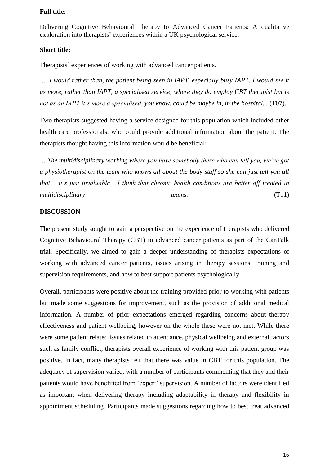Delivering Cognitive Behavioural Therapy to Advanced Cancer Patients: A qualitative exploration into therapists' experiences within a UK psychological service.

#### **Short title:**

Therapists' experiences of working with advanced cancer patients.

*… I would rather than, the patient being seen in IAPT, especially busy IAPT, I would see it as more, rather than IAPT, a specialised service, where they do employ CBT therapist but is not as an IAPT it's more a specialised, you know, could be maybe in, in the hospital...* (T07).

Two therapists suggested having a service designed for this population which included other health care professionals, who could provide additional information about the patient. The therapists thought having this information would be beneficial:

*… The multidisciplinary working where you have somebody there who can tell you, we've got a physiotherapist on the team who knows all about the body stuff so she can just tell you all that… it's just invaluable... I think that chronic health conditions are better off treated in multidisciplinary teams.* (T11)

### **DISCUSSION**

The present study sought to gain a perspective on the experience of therapists who delivered Cognitive Behavioural Therapy (CBT) to advanced cancer patients as part of the CanTalk trial. Specifically, we aimed to gain a deeper understanding of therapists expectations of working with advanced cancer patients, issues arising in therapy sessions, training and supervision requirements, and how to best support patients psychologically.

Overall, participants were positive about the training provided prior to working with patients but made some suggestions for improvement, such as the provision of additional medical information. A number of prior expectations emerged regarding concerns about therapy effectiveness and patient wellbeing, however on the whole these were not met. While there were some patient related issues related to attendance, physical wellbeing and external factors such as family conflict, therapists overall experience of working with this patient group was positive. In fact, many therapists felt that there was value in CBT for this population. The adequacy of supervision varied, with a number of participants commenting that they and their patients would have benefitted from 'expert' supervision. A number of factors were identified as important when delivering therapy including adaptability in therapy and flexibility in appointment scheduling. Participants made suggestions regarding how to best treat advanced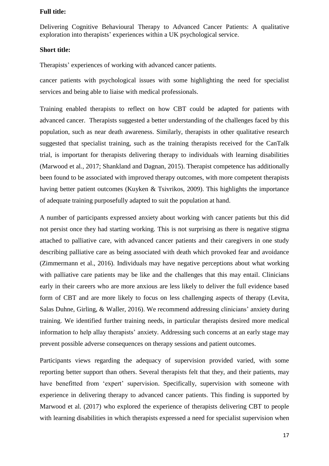Delivering Cognitive Behavioural Therapy to Advanced Cancer Patients: A qualitative exploration into therapists' experiences within a UK psychological service.

#### **Short title:**

Therapists' experiences of working with advanced cancer patients.

cancer patients with psychological issues with some highlighting the need for specialist services and being able to liaise with medical professionals.

Training enabled therapists to reflect on how CBT could be adapted for patients with advanced cancer. Therapists suggested a better understanding of the challenges faced by this population, such as near death awareness. Similarly, therapists in other qualitative research suggested that specialist training, such as the training therapists received for the CanTalk trial, is important for therapists delivering therapy to individuals with learning disabilities (Marwood et al*.*, 2017; Shankland and Dagnan, 2015). Therapist competence has additionally been found to be associated with improved therapy outcomes, with more competent therapists having better patient outcomes (Kuyken & Tsivrikos, 2009). This highlights the importance of adequate training purposefully adapted to suit the population at hand.

A number of participants expressed anxiety about working with cancer patients but this did not persist once they had starting working. This is not surprising as there is negative stigma attached to palliative care, with advanced cancer patients and their caregivers in one study describing palliative care as being associated with death which provoked fear and avoidance (Zimmermann et al., 2016). Individuals may have negative perceptions about what working with palliative care patients may be like and the challenges that this may entail. Clinicians early in their careers who are more anxious are less likely to deliver the full evidence based form of CBT and are more likely to focus on less challenging aspects of therapy (Levita, Salas Duhne, Girling, & Waller, 2016). We recommend addressing clinicians' anxiety during training. We identified further training needs, in particular therapists desired more medical information to help allay therapists' anxiety. Addressing such concerns at an early stage may prevent possible adverse consequences on therapy sessions and patient outcomes.

Participants views regarding the adequacy of supervision provided varied, with some reporting better support than others. Several therapists felt that they, and their patients, may have benefitted from 'expert' supervision. Specifically, supervision with someone with experience in delivering therapy to advanced cancer patients. This finding is supported by Marwood et al. (2017) who explored the experience of therapists delivering CBT to people with learning disabilities in which therapists expressed a need for specialist supervision when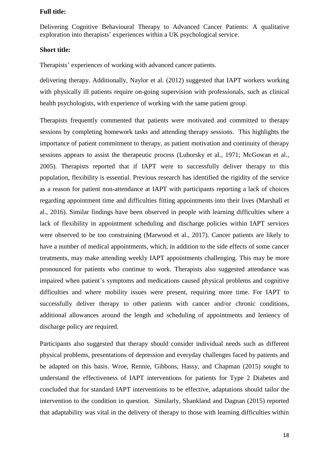Delivering Cognitive Behavioural Therapy to Advanced Cancer Patients: A qualitative exploration into therapists' experiences within a UK psychological service.

### **Short title:**

Therapists' experiences of working with advanced cancer patients.

delivering therapy. Additionally, Naylor et al. (2012) suggested that IAPT workers working with physically ill patients require on-going supervision with professionals, such as clinical health psychologists, with experience of working with the same patient group.

Therapists frequently commented that patients were motivated and committed to therapy sessions by completing homework tasks and attending therapy sessions. This highlights the importance of patient commitment to therapy, as patient motivation and continuity of therapy sessions appears to assist the therapeutic process (Luborsky et al., 1971; McGowan et al., 2005). Therapists reported that if IAPT were to successfully deliver therapy to this population, flexibility is essential. Previous research has identified the rigidity of the service as a reason for patient non-attendance at IAPT with participants reporting a lack of choices regarding appointment time and difficulties fitting appointments into their lives (Marshall et al., 2016). Similar findings have been observed in people with learning difficulties where a lack of flexibility in appointment scheduling and discharge policies within IAPT services were observed to be too constraining (Marwood et al., 2017). Cancer patients are likely to have a number of medical appointments, which, in addition to the side effects of some cancer treatments, may make attending weekly IAPT appointments challenging. This may be more pronounced for patients who continue to work. Therapists also suggested attendance was impaired when patient's symptoms and medications caused physical problems and cognitive difficulties and where mobility issues were present, requiring more time. For IAPT to successfully deliver therapy to other patients with cancer and/or chronic conditions, additional allowances around the length and scheduling of appointments and leniency of discharge policy are required.

Participants also suggested that therapy should consider individual needs such as different physical problems, presentations of depression and everyday challenges faced by patients and be adapted on this basis. Wroe, Rennie, Gibbons, Hassy, and Chapman (2015) sought to understand the effectiveness of IAPT interventions for patients for Type 2 Diabetes and concluded that for standard IAPT interventions to be effective, adaptations should tailor the intervention to the condition in question. Similarly, Shankland and Dagnan (2015) reported that adaptability was vital in the delivery of therapy to those with learning difficulties within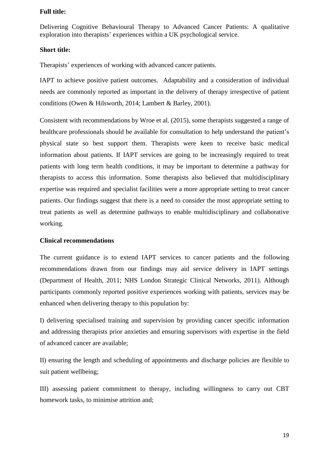Delivering Cognitive Behavioural Therapy to Advanced Cancer Patients: A qualitative exploration into therapists' experiences within a UK psychological service.

### **Short title:**

Therapists' experiences of working with advanced cancer patients.

IAPT to achieve positive patient outcomes. Adaptability and a consideration of individual needs are commonly reported as important in the delivery of therapy irrespective of patient conditions (Owen & Hilsworth, 2014; Lambert & Barley, 2001).

Consistent with recommendations by Wroe et al. (2015), some therapists suggested a range of healthcare professionals should be available for consultation to help understand the patient's physical state so best support them. Therapists were keen to receive basic medical information about patients. If IAPT services are going to be increasingly required to treat patients with long term health conditions, it may be important to determine a pathway for therapists to access this information. Some therapists also believed that multidisciplinary expertise was required and specialist facilities were a more appropriate setting to treat cancer patients. Our findings suggest that there is a need to consider the most appropriate setting to treat patients as well as determine pathways to enable multidisciplinary and collaborative working.

### **Clinical recommendations**

The current guidance is to extend IAPT services to cancer patients and the following recommendations drawn from our findings may aid service delivery in IAPT settings (Department of Health, 2011; NHS London Strategic Clinical Networks, 2011). Although participants commonly reported positive experiences working with patients, services may be enhanced when delivering therapy to this population by:

I) delivering specialised training and supervision by providing cancer specific information and addressing therapists prior anxieties and ensuring supervisors with expertise in the field of advanced cancer are available;

II) ensuring the length and scheduling of appointments and discharge policies are flexible to suit patient wellbeing;

III) assessing patient commitment to therapy, including willingness to carry out CBT homework tasks, to minimise attrition and;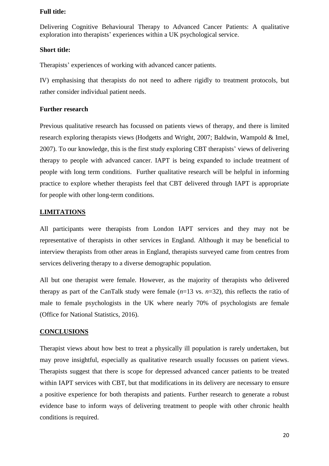Delivering Cognitive Behavioural Therapy to Advanced Cancer Patients: A qualitative exploration into therapists' experiences within a UK psychological service.

### **Short title:**

Therapists' experiences of working with advanced cancer patients.

IV) emphasising that therapists do not need to adhere rigidly to treatment protocols, but rather consider individual patient needs.

### **Further research**

Previous qualitative research has focussed on patients views of therapy, and there is limited research exploring therapists views (Hodgetts and Wright, 2007; Baldwin, Wampold & Imel, 2007). To our knowledge, this is the first study exploring CBT therapists' views of delivering therapy to people with advanced cancer. IAPT is being expanded to include treatment of people with long term conditions. Further qualitative research will be helpful in informing practice to explore whether therapists feel that CBT delivered through IAPT is appropriate for people with other long-term conditions.

### **LIMITATIONS**

All participants were therapists from London IAPT services and they may not be representative of therapists in other services in England. Although it may be beneficial to interview therapists from other areas in England, therapists surveyed came from centres from services delivering therapy to a diverse demographic population.

All but one therapist were female. However, as the majority of therapists who delivered therapy as part of the CanTalk study were female  $(n=13 \text{ vs. } n=32)$ , this reflects the ratio of male to female psychologists in the UK where nearly 70% of psychologists are female (Office for National Statistics, 2016).

### **CONCLUSIONS**

Therapist views about how best to treat a physically ill population is rarely undertaken, but may prove insightful, especially as qualitative research usually focusses on patient views. Therapists suggest that there is scope for depressed advanced cancer patients to be treated within IAPT services with CBT, but that modifications in its delivery are necessary to ensure a positive experience for both therapists and patients. Further research to generate a robust evidence base to inform ways of delivering treatment to people with other chronic health conditions is required.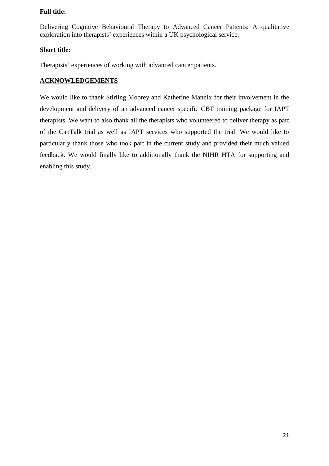Delivering Cognitive Behavioural Therapy to Advanced Cancer Patients: A qualitative exploration into therapists' experiences within a UK psychological service.

## **Short title:**

Therapists' experiences of working with advanced cancer patients.

# **ACKNOWLEDGEMENTS**

We would like to thank Stirling Moorey and Katherine Mannix for their involvement in the development and delivery of an advanced cancer specific CBT training package for IAPT therapists. We want to also thank all the therapists who volunteered to deliver therapy as part of the CanTalk trial as well as IAPT services who supported the trial. We would like to particularly thank those who took part in the current study and provided their much valued feedback. We would finally like to additionally thank the NIHR HTA for supporting and enabling this study.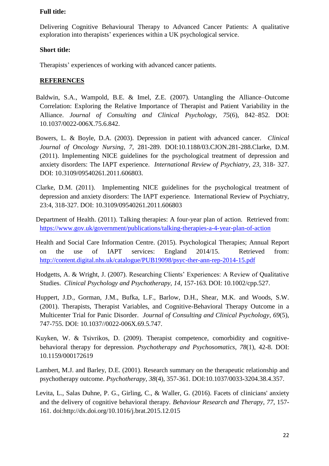Delivering Cognitive Behavioural Therapy to Advanced Cancer Patients: A qualitative exploration into therapists' experiences within a UK psychological service.

### **Short title:**

Therapists' experiences of working with advanced cancer patients.

### **REFERENCES**

- Baldwin, S.A., Wampold, B.E. & Imel, Z.E. (2007). Untangling the Alliance–Outcome Correlation: Exploring the Relative Importance of Therapist and Patient Variability in the Alliance. *Journal of Consulting and Clinical Psychology*, *75*(6), 842–852. DOI: 10.1037/0022-006X.75.6.842.
- Bowers, L. & Boyle, D.A. (2003). Depression in patient with advanced cancer. *Clinical Journal of Oncology Nursing*, *7*, 281-289. DOI:10.1188/03.CJON.281-288.Clarke, D.M. (2011). Implementing NICE guidelines for the psychological treatment of depression and anxiety disorders: The IAPT experience. *International Review of Psychiatry*, *23*, 318- 327. DOI: 10.3109/09540261.2011.606803.
- Clarke, D.M. (2011). Implementing NICE guidelines for the psychological treatment of depression and anxiety disorders: The IAPT experience. International Review of Psychiatry, 23:4, 318-327. DOI: 10.3109/09540261.2011.606803
- Department of Health. (2011). Talking therapies: A four-year plan of action. Retrieved from: <https://www.gov.uk/government/publications/talking-therapies-a-4-year-plan-of-action>
- Health and Social Care Information Centre. (2015). Psychological Therapies; Annual Report on the use of IAPT services: England 2014/15. Retrieved from: <http://content.digital.nhs.uk/catalogue/PUB19098/psyc-ther-ann-rep-2014-15.pdf>
- Hodgetts, A. & Wright, J. (2007). Researching Clients' Experiences: A Review of Qualitative Studies. *Clinical Psychology and Psychotherapy, 14*, 157-163*.* DOI: 10.1002/cpp.527.
- Huppert, J.D., Gorman, J.M., Bufka, L.F., Barlow, D.H., Shear, M.K. and Woods, S.W. (2001). Therapists, Therapist Variables, and Cognitive-Behavioral Therapy Outcome in a Multicenter Trial for Panic Disorder. *Journal of Consulting and Clinical Psychology*, *69*(5), 747-755. DOI: 10.1037//0022-006X.69.5.747.
- Kuyken, W. & Tsivrikos, D. (2009). Therapist competence, comorbidity and cognitivebehavioral therapy for depression. *Psychotherapy and Psychosomatics*, *78*(1), 42-8. DOI: 10.1159/000172619
- Lambert, M.J. and Barley, D.E. (2001). Research summary on the therapeutic relationship and psychotherapy outcome. *Psychotherapy*, *38*(4), 357-361. DOI:10.1037/0033-3204.38.4.357.
- Levita, L., Salas Duhne, P. G., Girling, C., & Waller, G. (2016). Facets of clinicians' anxiety and the delivery of cognitive behavioral therapy. *Behaviour Research and Therapy, 77*, 157- 161. doi:http://dx.doi.org/10.1016/j.brat.2015.12.015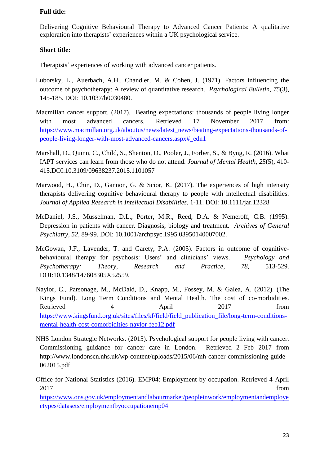Delivering Cognitive Behavioural Therapy to Advanced Cancer Patients: A qualitative exploration into therapists' experiences within a UK psychological service.

# **Short title:**

Therapists' experiences of working with advanced cancer patients.

- Luborsky, L., Auerbach, A.H., Chandler, M. & Cohen, J. (1971). Factors influencing the outcome of psychotherapy: A review of quantitative research. *Psychological Bulletin*, *75*(3), 145-185. DOI: 10.1037/h0030480.
- Macmillan cancer support. (2017). Beating expectations: thousands of people living longer with most advanced cancers. Retrieved 17 November 2017 from: [https://www.macmillan.org.uk/aboutus/news/latest\\_news/beating-expectations-thousands-of](https://www.macmillan.org.uk/aboutus/news/latest_news/beating-expectations-thousands-of-people-living-longer-with-most-advanced-cancers.aspx#_edn1)[people-living-longer-with-most-advanced-cancers.aspx#\\_edn1](https://www.macmillan.org.uk/aboutus/news/latest_news/beating-expectations-thousands-of-people-living-longer-with-most-advanced-cancers.aspx#_edn1)
- Marshall, D., Quinn, C., Child, S., Shenton, D., Pooler, J., Forber, S., & Byng, R. (2016). What IAPT services can learn from those who do not attend. *Journal of Mental Health, 25*(5), 410- 415.DOI:10.3109/09638237.2015.1101057
- Marwood, H., Chin, D., Gannon, G. & Scior, K. (2017). The experiences of high intensity therapists delivering cognitive behavioural therapy to people with intellectual disabilities. *Journal of Applied Research in Intellectual Disabilities*, 1-11. DOI: 10.1111/jar.12328
- McDaniel, J.S., Musselman, D.L., Porter, M.R., Reed, D.A. & Nemeroff, C.B. (1995). Depression in patients with cancer. Diagnosis, biology and treatment. *Archives of General Psychiatry*, *52*, 89-99. DOI: 10.1001/archpsyc.1995.03950140007002.
- McGowan, J.F., Lavender, T. and Garety, P.A. (2005). Factors in outcome of cognitivebehavioural therapy for psychosis: Users' and clinicians' views. *Psychology and Psychotherapy: Theory, Research and Practice*, *78*, 513-529. DOI:10.1348/147608305X52559.
- Naylor, C., Parsonage, M., McDaid, D., Knapp, M., Fossey, M. & Galea, A. (2012). (The Kings Fund). Long Term Conditions and Mental Health. The cost of co-morbidities. Retrieved 4 April 2017 from [https://www.kingsfund.org.uk/sites/files/kf/field/field\\_publication\\_file/long-term-conditions](https://www.kingsfund.org.uk/sites/files/kf/field/field_publication_file/long-term-conditions-mental-health-cost-comorbidities-naylor-feb12.pdf)[mental-health-cost-comorbidities-naylor-feb12.pdf](https://www.kingsfund.org.uk/sites/files/kf/field/field_publication_file/long-term-conditions-mental-health-cost-comorbidities-naylor-feb12.pdf)
- NHS London Strategic Networks. (2015). Psychological support for people living with cancer. Commissioning guidance for cancer care in London. Retrieved 2 Feb 2017 from http://www.londonscn.nhs.uk/wp-content/uploads/2015/06/mh-cancer-commissioning-guide-062015.pdf

Office for National Statistics (2016). EMP04: Employment by occupation. Retrieved 4 April 2017 from [https://www.ons.gov.uk/employmentandlabourmarket/peopleinwork/employmentandemploye](https://www.ons.gov.uk/employmentandlabourmarket/peopleinwork/employmentandemployeetypes/datasets/employmentbyoccupationemp04) [etypes/datasets/employmentbyoccupationemp04](https://www.ons.gov.uk/employmentandlabourmarket/peopleinwork/employmentandemployeetypes/datasets/employmentbyoccupationemp04)